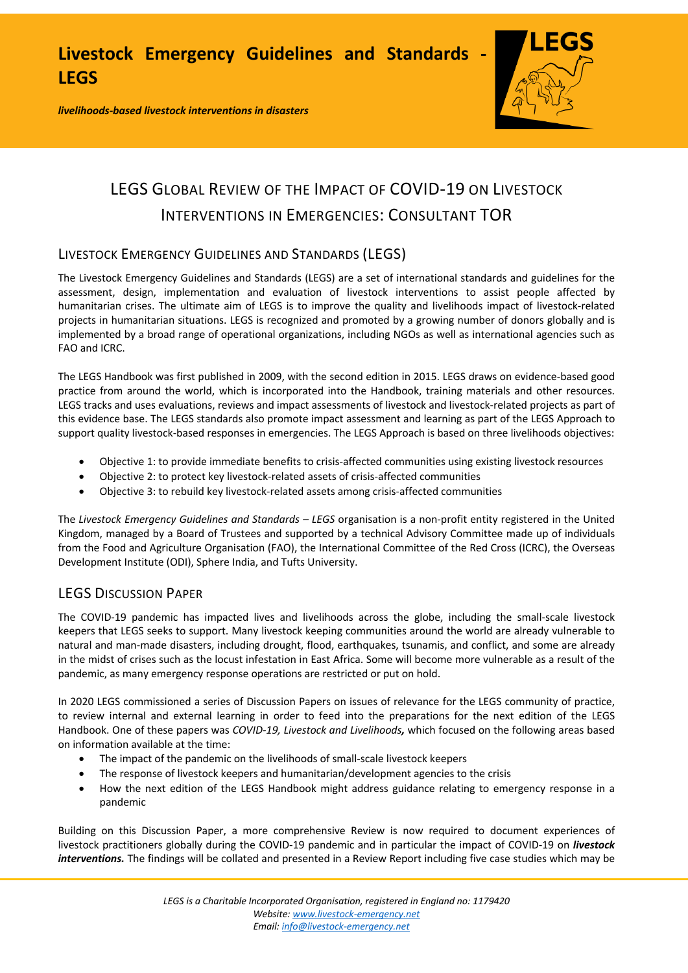*livelihoods-based livestock interventions in disasters*



# LEGS GLOBAL REVIEW OF THE IMPACT OF COVID-19 ON LIVESTOCK INTERVENTIONS IN EMERGENCIES: CONSULTANT TOR

# LIVESTOCK EMERGENCY GUIDELINES AND STANDARDS (LEGS)

The Livestock Emergency Guidelines and Standards (LEGS) are a set of international standards and guidelines for the assessment, design, implementation and evaluation of livestock interventions to assist people affected by humanitarian crises. The ultimate aim of LEGS is to improve the quality and livelihoods impact of livestock-related projects in humanitarian situations. LEGS is recognized and promoted by a growing number of donors globally and is implemented by a broad range of operational organizations, including NGOs as well as international agencies such as FAO and ICRC.

The LEGS Handbook was first published in 2009, with the second edition in 2015. LEGS draws on evidence-based good practice from around the world, which is incorporated into the Handbook, training materials and other resources. LEGS tracks and uses evaluations, reviews and impact assessments of livestock and livestock-related projects as part of this evidence base. The LEGS standards also promote impact assessment and learning as part of the LEGS Approach to support quality livestock-based responses in emergencies. The LEGS Approach is based on three livelihoods objectives:

- Objective 1: to provide immediate benefits to crisis-affected communities using existing livestock resources
- Objective 2: to protect key livestock-related assets of crisis-affected communities
- Objective 3: to rebuild key livestock-related assets among crisis-affected communities

The *Livestock Emergency Guidelines and Standards – LEGS* organisation is a non-profit entity registered in the United Kingdom, managed by a Board of Trustees and supported by a technical Advisory Committee made up of individuals from the Food and Agriculture Organisation (FAO), the International Committee of the Red Cross (ICRC), the Overseas Development Institute (ODI), Sphere India, and Tufts University.

# LEGS DISCUSSION PAPER

The COVID-19 pandemic has impacted lives and livelihoods across the globe, including the small-scale livestock keepers that LEGS seeks to support. Many livestock keeping communities around the world are already vulnerable to natural and man-made disasters, including drought, flood, earthquakes, tsunamis, and conflict, and some are already in the midst of crises such as the locust infestation in East Africa. Some will become more vulnerable as a result of the pandemic, as many emergency response operations are restricted or put on hold.

In 2020 LEGS commissioned a series of Discussion Papers on issues of relevance for the LEGS community of practice, to review internal and external learning in order to feed into the preparations for the next edition of the LEGS Handbook. One of these papers was *COVID-19, Livestock and Livelihoods,* which focused on the following areas based on information available at the time:

- The impact of the pandemic on the livelihoods of small-scale livestock keepers
- The response of livestock keepers and humanitarian/development agencies to the crisis
- How the next edition of the LEGS Handbook might address guidance relating to emergency response in a pandemic

Building on this Discussion Paper, a more comprehensive Review is now required to document experiences of livestock practitioners globally during the COVID-19 pandemic and in particular the impact of COVID-19 on *livestock interventions.* The findings will be collated and presented in a Review Report including five case studies which may be